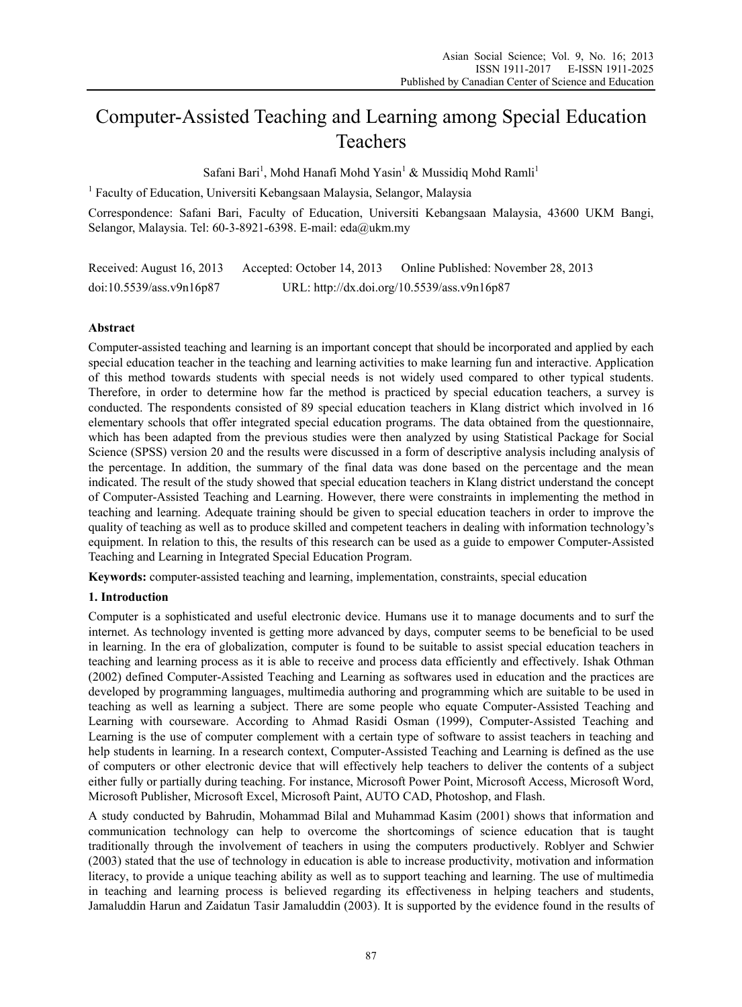# Computer-Assisted Teaching and Learning among Special Education Teachers

Safani Bari<sup>1</sup>, Mohd Hanafi Mohd Yasin<sup>1</sup> & Mussidiq Mohd Ramli<sup>1</sup>

<sup>1</sup> Faculty of Education, Universiti Kebangsaan Malaysia, Selangor, Malaysia

Correspondence: Safani Bari, Faculty of Education, Universiti Kebangsaan Malaysia, 43600 UKM Bangi, Selangor, Malaysia. Tel: 60-3-8921-6398. E-mail: eda@ukm.my

Received: August 16, 2013 Accepted: October 14, 2013 Online Published: November 28, 2013 doi:10.5539/ass.v9n16p87 URL: http://dx.doi.org/10.5539/ass.v9n16p87

# **Abstract**

Computer-assisted teaching and learning is an important concept that should be incorporated and applied by each special education teacher in the teaching and learning activities to make learning fun and interactive. Application of this method towards students with special needs is not widely used compared to other typical students. Therefore, in order to determine how far the method is practiced by special education teachers, a survey is conducted. The respondents consisted of 89 special education teachers in Klang district which involved in 16 elementary schools that offer integrated special education programs. The data obtained from the questionnaire, which has been adapted from the previous studies were then analyzed by using Statistical Package for Social Science (SPSS) version 20 and the results were discussed in a form of descriptive analysis including analysis of the percentage. In addition, the summary of the final data was done based on the percentage and the mean indicated. The result of the study showed that special education teachers in Klang district understand the concept of Computer-Assisted Teaching and Learning. However, there were constraints in implementing the method in teaching and learning. Adequate training should be given to special education teachers in order to improve the quality of teaching as well as to produce skilled and competent teachers in dealing with information technology's equipment. In relation to this, the results of this research can be used as a guide to empower Computer-Assisted Teaching and Learning in Integrated Special Education Program.

**Keywords:** computer-assisted teaching and learning, implementation, constraints, special education

### **1. Introduction**

Computer is a sophisticated and useful electronic device. Humans use it to manage documents and to surf the internet. As technology invented is getting more advanced by days, computer seems to be beneficial to be used in learning. In the era of globalization, computer is found to be suitable to assist special education teachers in teaching and learning process as it is able to receive and process data efficiently and effectively. Ishak Othman (2002) defined Computer-Assisted Teaching and Learning as softwares used in education and the practices are developed by programming languages, multimedia authoring and programming which are suitable to be used in teaching as well as learning a subject. There are some people who equate Computer-Assisted Teaching and Learning with courseware. According to Ahmad Rasidi Osman (1999), Computer-Assisted Teaching and Learning is the use of computer complement with a certain type of software to assist teachers in teaching and help students in learning. In a research context, Computer-Assisted Teaching and Learning is defined as the use of computers or other electronic device that will effectively help teachers to deliver the contents of a subject either fully or partially during teaching. For instance, Microsoft Power Point, Microsoft Access, Microsoft Word, Microsoft Publisher, Microsoft Excel, Microsoft Paint, AUTO CAD, Photoshop, and Flash.

A study conducted by Bahrudin, Mohammad Bilal and Muhammad Kasim (2001) shows that information and communication technology can help to overcome the shortcomings of science education that is taught traditionally through the involvement of teachers in using the computers productively. Roblyer and Schwier (2003) stated that the use of technology in education is able to increase productivity, motivation and information literacy, to provide a unique teaching ability as well as to support teaching and learning. The use of multimedia in teaching and learning process is believed regarding its effectiveness in helping teachers and students, Jamaluddin Harun and Zaidatun Tasir Jamaluddin (2003). It is supported by the evidence found in the results of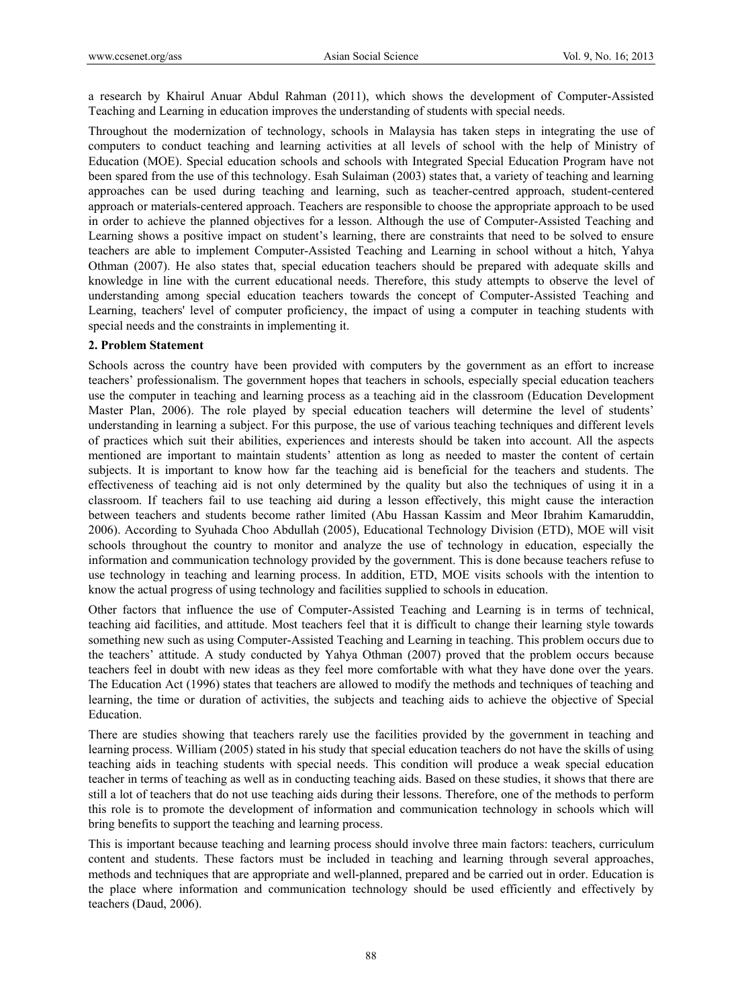a research by Khairul Anuar Abdul Rahman (2011), which shows the development of Computer-Assisted Teaching and Learning in education improves the understanding of students with special needs.

Throughout the modernization of technology, schools in Malaysia has taken steps in integrating the use of computers to conduct teaching and learning activities at all levels of school with the help of Ministry of Education (MOE). Special education schools and schools with Integrated Special Education Program have not been spared from the use of this technology. Esah Sulaiman (2003) states that, a variety of teaching and learning approaches can be used during teaching and learning, such as teacher-centred approach, student-centered approach or materials-centered approach. Teachers are responsible to choose the appropriate approach to be used in order to achieve the planned objectives for a lesson. Although the use of Computer-Assisted Teaching and Learning shows a positive impact on student's learning, there are constraints that need to be solved to ensure teachers are able to implement Computer-Assisted Teaching and Learning in school without a hitch, Yahya Othman (2007). He also states that, special education teachers should be prepared with adequate skills and knowledge in line with the current educational needs. Therefore, this study attempts to observe the level of understanding among special education teachers towards the concept of Computer-Assisted Teaching and Learning, teachers' level of computer proficiency, the impact of using a computer in teaching students with special needs and the constraints in implementing it.

#### **2. Problem Statement**

Schools across the country have been provided with computers by the government as an effort to increase teachers' professionalism. The government hopes that teachers in schools, especially special education teachers use the computer in teaching and learning process as a teaching aid in the classroom (Education Development Master Plan, 2006). The role played by special education teachers will determine the level of students' understanding in learning a subject. For this purpose, the use of various teaching techniques and different levels of practices which suit their abilities, experiences and interests should be taken into account. All the aspects mentioned are important to maintain students' attention as long as needed to master the content of certain subjects. It is important to know how far the teaching aid is beneficial for the teachers and students. The effectiveness of teaching aid is not only determined by the quality but also the techniques of using it in a classroom. If teachers fail to use teaching aid during a lesson effectively, this might cause the interaction between teachers and students become rather limited (Abu Hassan Kassim and Meor Ibrahim Kamaruddin, 2006). According to Syuhada Choo Abdullah (2005), Educational Technology Division (ETD), MOE will visit schools throughout the country to monitor and analyze the use of technology in education, especially the information and communication technology provided by the government. This is done because teachers refuse to use technology in teaching and learning process. In addition, ETD, MOE visits schools with the intention to know the actual progress of using technology and facilities supplied to schools in education.

Other factors that influence the use of Computer-Assisted Teaching and Learning is in terms of technical, teaching aid facilities, and attitude. Most teachers feel that it is difficult to change their learning style towards something new such as using Computer-Assisted Teaching and Learning in teaching. This problem occurs due to the teachers' attitude. A study conducted by Yahya Othman (2007) proved that the problem occurs because teachers feel in doubt with new ideas as they feel more comfortable with what they have done over the years. The Education Act (1996) states that teachers are allowed to modify the methods and techniques of teaching and learning, the time or duration of activities, the subjects and teaching aids to achieve the objective of Special Education.

There are studies showing that teachers rarely use the facilities provided by the government in teaching and learning process. William (2005) stated in his study that special education teachers do not have the skills of using teaching aids in teaching students with special needs. This condition will produce a weak special education teacher in terms of teaching as well as in conducting teaching aids. Based on these studies, it shows that there are still a lot of teachers that do not use teaching aids during their lessons. Therefore, one of the methods to perform this role is to promote the development of information and communication technology in schools which will bring benefits to support the teaching and learning process.

This is important because teaching and learning process should involve three main factors: teachers, curriculum content and students. These factors must be included in teaching and learning through several approaches, methods and techniques that are appropriate and well-planned, prepared and be carried out in order. Education is the place where information and communication technology should be used efficiently and effectively by teachers (Daud, 2006).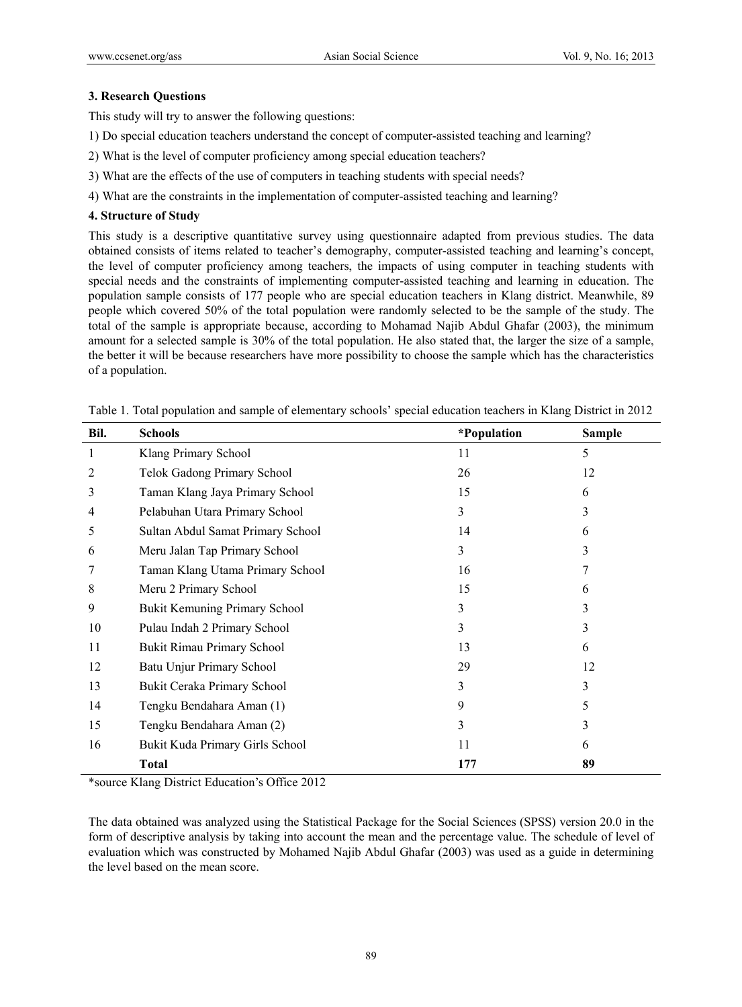## **3. Research Questions**

This study will try to answer the following questions:

- 1) Do special education teachers understand the concept of computer-assisted teaching and learning?
- 2) What is the level of computer proficiency among special education teachers?
- 3) What are the effects of the use of computers in teaching students with special needs?
- 4) What are the constraints in the implementation of computer-assisted teaching and learning?

## **4. Structure of Study**

This study is a descriptive quantitative survey using questionnaire adapted from previous studies. The data obtained consists of items related to teacher's demography, computer-assisted teaching and learning's concept, the level of computer proficiency among teachers, the impacts of using computer in teaching students with special needs and the constraints of implementing computer-assisted teaching and learning in education. The population sample consists of 177 people who are special education teachers in Klang district. Meanwhile, 89 people which covered 50% of the total population were randomly selected to be the sample of the study. The total of the sample is appropriate because, according to Mohamad Najib Abdul Ghafar (2003), the minimum amount for a selected sample is 30% of the total population. He also stated that, the larger the size of a sample, the better it will be because researchers have more possibility to choose the sample which has the characteristics of a population.

| Bil. | <b>Schools</b>                       | <i>*Population</i> | <b>Sample</b> |
|------|--------------------------------------|--------------------|---------------|
| 1    | Klang Primary School                 | 11                 | 5             |
| 2    | Telok Gadong Primary School          | 26                 | 12            |
| 3    | Taman Klang Jaya Primary School      | 15                 | 6             |
| 4    | Pelabuhan Utara Primary School       | 3                  | 3             |
| 5    | Sultan Abdul Samat Primary School    | 14                 | 6             |
| 6    | Meru Jalan Tap Primary School        | 3                  | 3             |
|      | Taman Klang Utama Primary School     | 16                 |               |
| 8    | Meru 2 Primary School                | 15                 | 6             |
| 9    | <b>Bukit Kemuning Primary School</b> | 3                  | 3             |
| 10   | Pulau Indah 2 Primary School         | 3                  | 3             |
| 11   | <b>Bukit Rimau Primary School</b>    | 13                 | 6             |
| 12   | Batu Unjur Primary School            | 29                 | 12            |
| 13   | Bukit Ceraka Primary School          | 3                  | 3             |
| 14   | Tengku Bendahara Aman (1)            | 9                  | 5             |
| 15   | Tengku Bendahara Aman (2)            | 3                  | 3             |
| 16   | Bukit Kuda Primary Girls School      | 11                 | 6             |
|      | <b>Total</b>                         | 177                | 89            |

Table 1. Total population and sample of elementary schools' special education teachers in Klang District in 2012

\*source Klang District Education's Office 2012

The data obtained was analyzed using the Statistical Package for the Social Sciences (SPSS) version 20.0 in the form of descriptive analysis by taking into account the mean and the percentage value. The schedule of level of evaluation which was constructed by Mohamed Najib Abdul Ghafar (2003) was used as a guide in determining the level based on the mean score.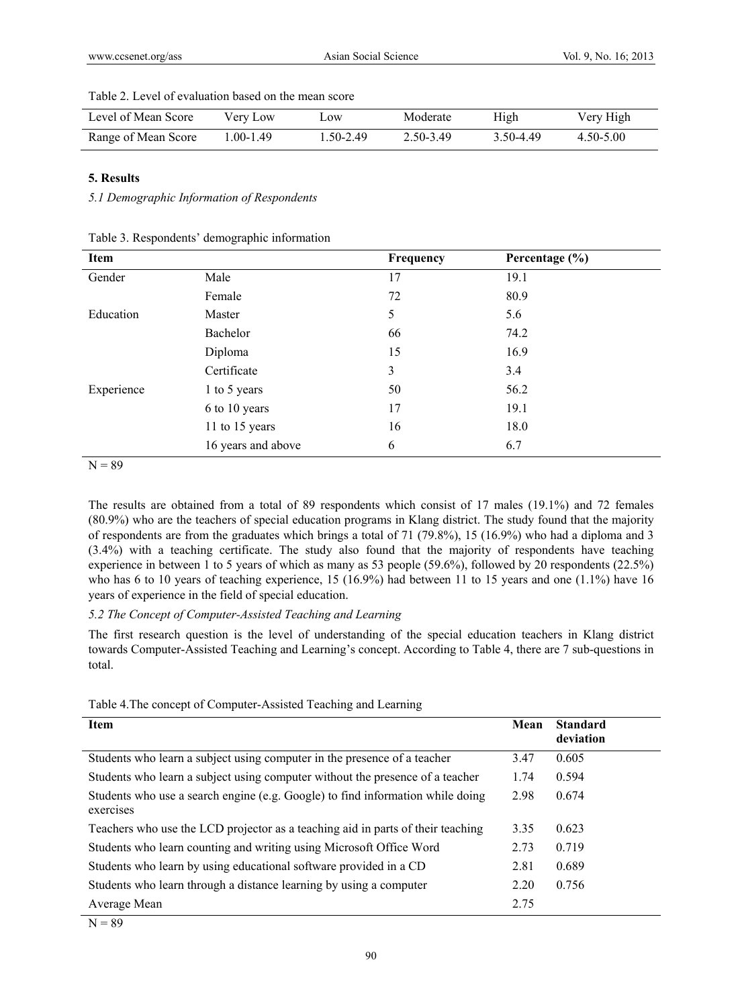## Table 2. Level of evaluation based on the mean score

| Level of Mean Score | Very Low   | $L$ <sup>O</sup> W | Moderate  | High      | Very High |
|---------------------|------------|--------------------|-----------|-----------|-----------|
| Range of Mean Score | $.00-1.49$ | .50-2.49           | 2.50-3.49 | 3 50 4 49 | 4.50-5.00 |

### **5. Results**

*5.1 Demographic Information of Respondents* 

| Item       |                    | Frequency | Percentage $(\% )$ |
|------------|--------------------|-----------|--------------------|
| Gender     | Male               | 17        | 19.1               |
|            | Female             | 72        | 80.9               |
| Education  | Master             | 5         | 5.6                |
|            | Bachelor           | 66        | 74.2               |
|            | Diploma            | 15        | 16.9               |
|            | Certificate        | 3         | 3.4                |
| Experience | 1 to 5 years       | 50        | 56.2               |
|            | 6 to 10 years      | 17        | 19.1               |
|            | 11 to 15 years     | 16        | 18.0               |
|            | 16 years and above | 6         | 6.7                |

 $N = 89$ 

The results are obtained from a total of 89 respondents which consist of 17 males (19.1%) and 72 females (80.9%) who are the teachers of special education programs in Klang district. The study found that the majority of respondents are from the graduates which brings a total of 71 (79.8%), 15 (16.9%) who had a diploma and 3 (3.4%) with a teaching certificate. The study also found that the majority of respondents have teaching experience in between 1 to 5 years of which as many as 53 people (59.6%), followed by 20 respondents (22.5%) who has 6 to 10 years of teaching experience, 15 (16.9%) had between 11 to 15 years and one (1.1%) have 16 years of experience in the field of special education.

# *5.2 The Concept of Computer-Assisted Teaching and Learning*

The first research question is the level of understanding of the special education teachers in Klang district towards Computer-Assisted Teaching and Learning's concept. According to Table 4, there are 7 sub-questions in total.

| <b>Item</b>                                                                                 | Mean | <b>Standard</b><br>deviation |
|---------------------------------------------------------------------------------------------|------|------------------------------|
| Students who learn a subject using computer in the presence of a teacher                    | 3.47 | 0.605                        |
| Students who learn a subject using computer without the presence of a teacher               | 1.74 | 0.594                        |
| Students who use a search engine (e.g. Google) to find information while doing<br>exercises | 2.98 | 0.674                        |
| Teachers who use the LCD projector as a teaching aid in parts of their teaching             | 3.35 | 0.623                        |
| Students who learn counting and writing using Microsoft Office Word                         | 2.73 | 0.719                        |
| Students who learn by using educational software provided in a CD                           | 2.81 | 0.689                        |
| Students who learn through a distance learning by using a computer                          | 2.20 | 0.756                        |
| Average Mean                                                                                | 2.75 |                              |

Table 4.The concept of Computer-Assisted Teaching and Learning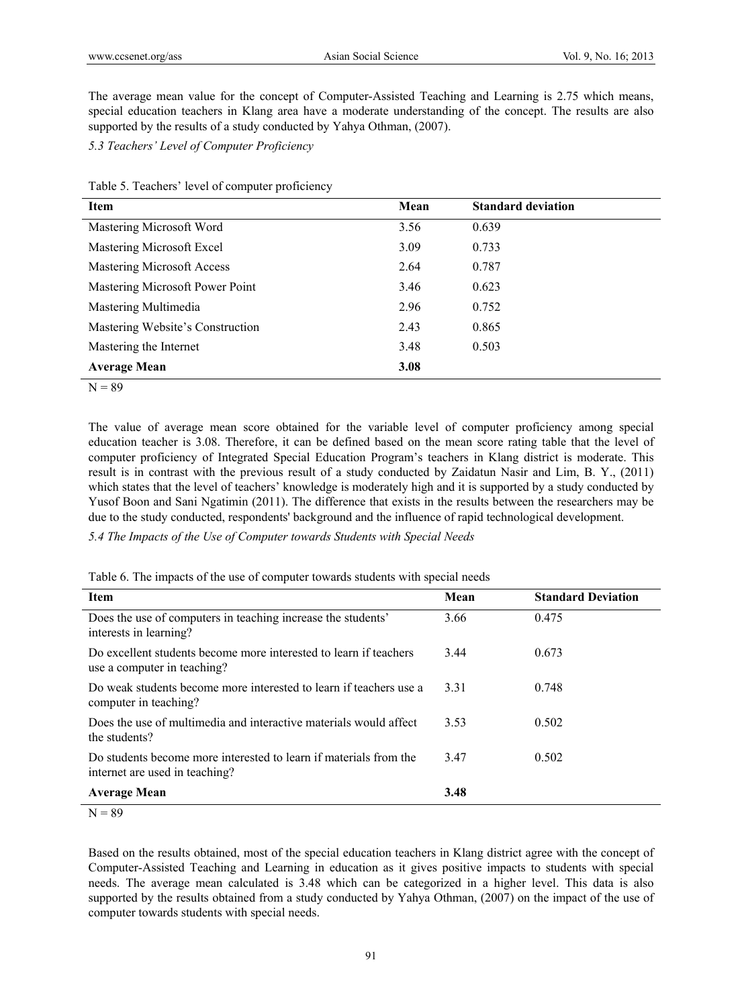The average mean value for the concept of Computer-Assisted Teaching and Learning is 2.75 which means, special education teachers in Klang area have a moderate understanding of the concept. The results are also supported by the results of a study conducted by Yahya Othman, (2007).

*5.3 Teachers' Level of Computer Proficiency* 

| Item                              | Mean | <b>Standard deviation</b> |
|-----------------------------------|------|---------------------------|
| Mastering Microsoft Word          | 3.56 | 0.639                     |
| Mastering Microsoft Excel         | 3.09 | 0.733                     |
| <b>Mastering Microsoft Access</b> | 2.64 | 0.787                     |
| Mastering Microsoft Power Point   | 3.46 | 0.623                     |
| Mastering Multimedia              | 2.96 | 0.752                     |
| Mastering Website's Construction  | 2.43 | 0.865                     |
| Mastering the Internet            | 3.48 | 0.503                     |
| <b>Average Mean</b>               | 3.08 |                           |
| $N = 89$                          |      |                           |

The value of average mean score obtained for the variable level of computer proficiency among special education teacher is 3.08. Therefore, it can be defined based on the mean score rating table that the level of computer proficiency of Integrated Special Education Program's teachers in Klang district is moderate. This result is in contrast with the previous result of a study conducted by Zaidatun Nasir and Lim, B. Y., (2011) which states that the level of teachers' knowledge is moderately high and it is supported by a study conducted by Yusof Boon and Sani Ngatimin (2011). The difference that exists in the results between the researchers may be due to the study conducted, respondents' background and the influence of rapid technological development.

*5.4 The Impacts of the Use of Computer towards Students with Special Needs* 

Table 6. The impacts of the use of computer towards students with special needs

| Item                                                                                                | Mean | <b>Standard Deviation</b> |
|-----------------------------------------------------------------------------------------------------|------|---------------------------|
| Does the use of computers in teaching increase the students'<br>interests in learning?              | 3.66 | 0.475                     |
| Do excellent students become more interested to learn if teachers<br>use a computer in teaching?    | 3.44 | 0.673                     |
| Do weak students become more interested to learn if teachers use a<br>computer in teaching?         | 3.31 | 0.748                     |
| Does the use of multimedia and interactive materials would affect<br>the students?                  | 3.53 | 0.502                     |
| Do students become more interested to learn if materials from the<br>internet are used in teaching? | 3.47 | 0.502                     |
| <b>Average Mean</b>                                                                                 | 3.48 |                           |

 $N = 89$ 

Based on the results obtained, most of the special education teachers in Klang district agree with the concept of Computer-Assisted Teaching and Learning in education as it gives positive impacts to students with special needs. The average mean calculated is 3.48 which can be categorized in a higher level. This data is also supported by the results obtained from a study conducted by Yahya Othman, (2007) on the impact of the use of computer towards students with special needs.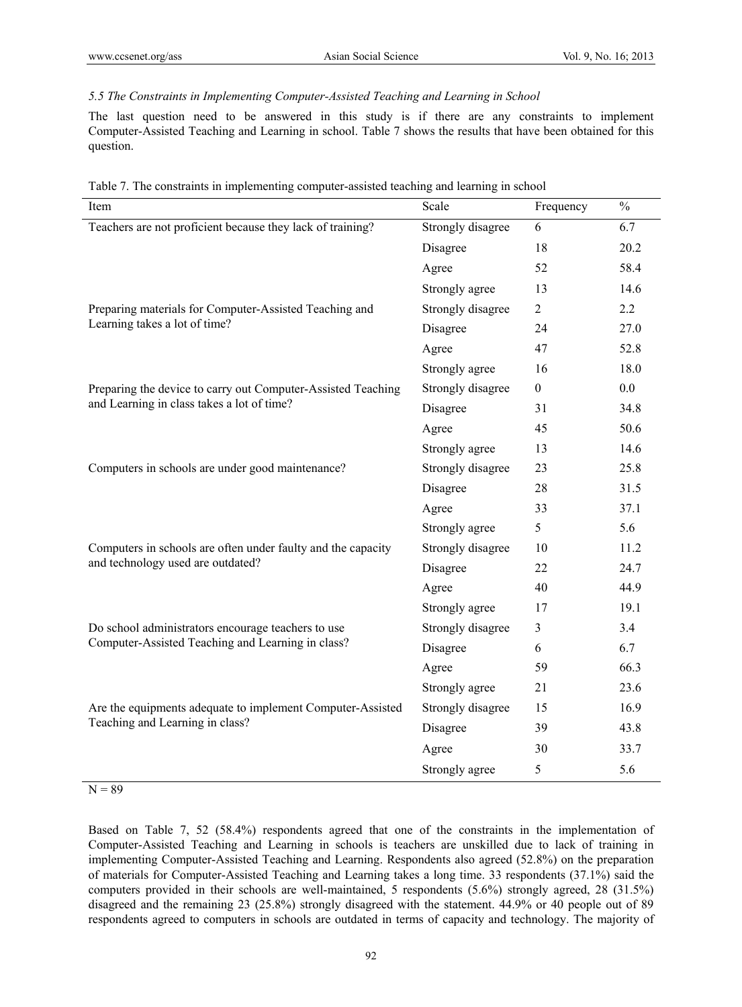## *5.5 The Constraints in Implementing Computer-Assisted Teaching and Learning in School*

The last question need to be answered in this study is if there are any constraints to implement Computer-Assisted Teaching and Learning in school. Table 7 shows the results that have been obtained for this question.

| Item                                                         | Scale             | Frequency      | $\frac{0}{0}$ |
|--------------------------------------------------------------|-------------------|----------------|---------------|
| Teachers are not proficient because they lack of training?   | Strongly disagree | 6              | 6.7           |
|                                                              | Disagree          | 18             | 20.2          |
|                                                              | Agree             | 52             | 58.4          |
|                                                              | Strongly agree    | 13             | 14.6          |
| Preparing materials for Computer-Assisted Teaching and       | Strongly disagree | $\overline{2}$ | 2.2           |
| Learning takes a lot of time?                                | Disagree          | 24             | 27.0          |
|                                                              | Agree             | 47             | 52.8          |
|                                                              | Strongly agree    | 16             | 18.0          |
| Preparing the device to carry out Computer-Assisted Teaching | Strongly disagree | $\overline{0}$ | $0.0\,$       |
| and Learning in class takes a lot of time?                   | Disagree          | 31             | 34.8          |
|                                                              | Agree             | 45             | 50.6          |
|                                                              | Strongly agree    | 13             | 14.6          |
| Computers in schools are under good maintenance?             | Strongly disagree | 23             | 25.8          |
|                                                              | Disagree          | 28             | 31.5          |
|                                                              | Agree             | 33             | 37.1          |
|                                                              | Strongly agree    | 5              | 5.6           |
| Computers in schools are often under faulty and the capacity | Strongly disagree | 10             | 11.2          |
| and technology used are outdated?                            | Disagree          | 22             | 24.7          |
|                                                              | Agree             | 40             | 44.9          |
|                                                              | Strongly agree    | 17             | 19.1          |
| Do school administrators encourage teachers to use           | Strongly disagree | 3              | 3.4           |
| Computer-Assisted Teaching and Learning in class?            | Disagree          | 6              | 6.7           |
|                                                              | Agree             | 59             | 66.3          |
|                                                              | Strongly agree    | 21             | 23.6          |
| Are the equipments adequate to implement Computer-Assisted   | Strongly disagree | 15             | 16.9          |
| Teaching and Learning in class?                              | Disagree          | 39             | 43.8          |
|                                                              | Agree             | 30             | 33.7          |
|                                                              | Strongly agree    | 5              | 5.6           |

|  |  |  | Table 7. The constraints in implementing computer-assisted teaching and learning in school |
|--|--|--|--------------------------------------------------------------------------------------------|
|  |  |  |                                                                                            |

 $N = 89$ 

Based on Table 7, 52 (58.4%) respondents agreed that one of the constraints in the implementation of Computer-Assisted Teaching and Learning in schools is teachers are unskilled due to lack of training in implementing Computer-Assisted Teaching and Learning. Respondents also agreed (52.8%) on the preparation of materials for Computer-Assisted Teaching and Learning takes a long time. 33 respondents (37.1%) said the computers provided in their schools are well-maintained, 5 respondents (5.6%) strongly agreed, 28 (31.5%) disagreed and the remaining 23 (25.8%) strongly disagreed with the statement. 44.9% or 40 people out of 89 respondents agreed to computers in schools are outdated in terms of capacity and technology. The majority of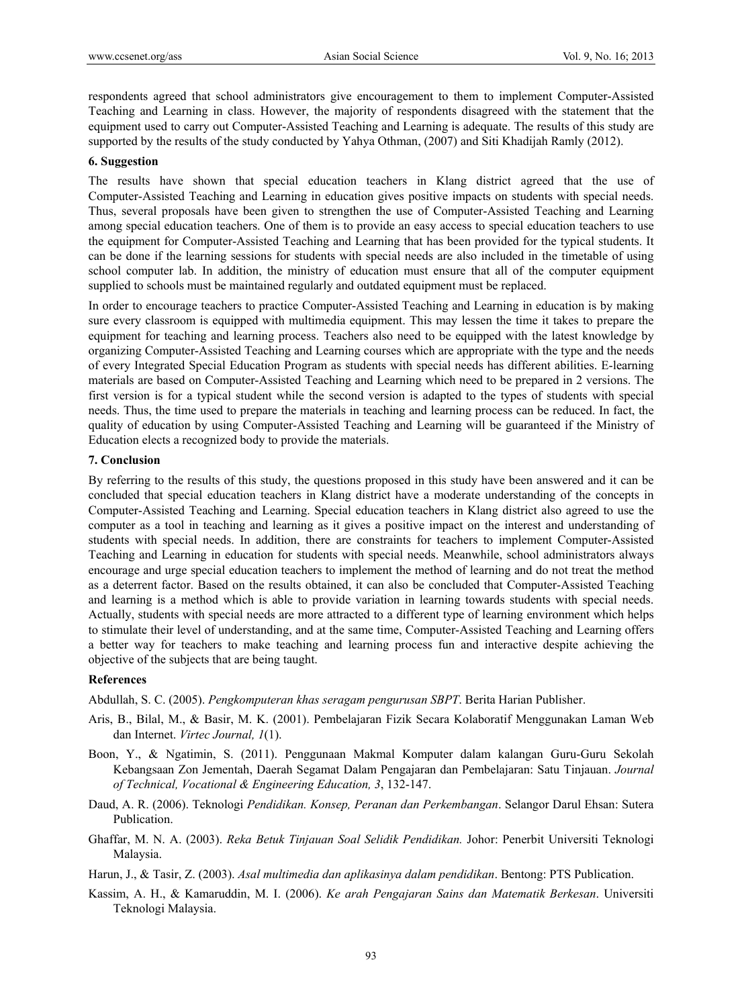respondents agreed that school administrators give encouragement to them to implement Computer-Assisted Teaching and Learning in class. However, the majority of respondents disagreed with the statement that the equipment used to carry out Computer-Assisted Teaching and Learning is adequate. The results of this study are supported by the results of the study conducted by Yahya Othman, (2007) and Siti Khadijah Ramly (2012).

#### **6. Suggestion**

The results have shown that special education teachers in Klang district agreed that the use of Computer-Assisted Teaching and Learning in education gives positive impacts on students with special needs. Thus, several proposals have been given to strengthen the use of Computer-Assisted Teaching and Learning among special education teachers. One of them is to provide an easy access to special education teachers to use the equipment for Computer-Assisted Teaching and Learning that has been provided for the typical students. It can be done if the learning sessions for students with special needs are also included in the timetable of using school computer lab. In addition, the ministry of education must ensure that all of the computer equipment supplied to schools must be maintained regularly and outdated equipment must be replaced.

In order to encourage teachers to practice Computer-Assisted Teaching and Learning in education is by making sure every classroom is equipped with multimedia equipment. This may lessen the time it takes to prepare the equipment for teaching and learning process. Teachers also need to be equipped with the latest knowledge by organizing Computer-Assisted Teaching and Learning courses which are appropriate with the type and the needs of every Integrated Special Education Program as students with special needs has different abilities. E-learning materials are based on Computer-Assisted Teaching and Learning which need to be prepared in 2 versions. The first version is for a typical student while the second version is adapted to the types of students with special needs. Thus, the time used to prepare the materials in teaching and learning process can be reduced. In fact, the quality of education by using Computer-Assisted Teaching and Learning will be guaranteed if the Ministry of Education elects a recognized body to provide the materials.

## **7. Conclusion**

By referring to the results of this study, the questions proposed in this study have been answered and it can be concluded that special education teachers in Klang district have a moderate understanding of the concepts in Computer-Assisted Teaching and Learning. Special education teachers in Klang district also agreed to use the computer as a tool in teaching and learning as it gives a positive impact on the interest and understanding of students with special needs. In addition, there are constraints for teachers to implement Computer-Assisted Teaching and Learning in education for students with special needs. Meanwhile, school administrators always encourage and urge special education teachers to implement the method of learning and do not treat the method as a deterrent factor. Based on the results obtained, it can also be concluded that Computer-Assisted Teaching and learning is a method which is able to provide variation in learning towards students with special needs. Actually, students with special needs are more attracted to a different type of learning environment which helps to stimulate their level of understanding, and at the same time, Computer-Assisted Teaching and Learning offers a better way for teachers to make teaching and learning process fun and interactive despite achieving the objective of the subjects that are being taught.

#### **References**

Abdullah, S. C. (2005). *Pengkomputeran khas seragam pengurusan SBPT*. Berita Harian Publisher.

- Aris, B., Bilal, M., & Basir, M. K. (2001). Pembelajaran Fizik Secara Kolaboratif Menggunakan Laman Web dan Internet. *Virtec Journal, 1*(1).
- Boon, Y., & Ngatimin, S. (2011). Penggunaan Makmal Komputer dalam kalangan Guru-Guru Sekolah Kebangsaan Zon Jementah, Daerah Segamat Dalam Pengajaran dan Pembelajaran: Satu Tinjauan. *Journal of Technical, Vocational & Engineering Education, 3*, 132-147.
- Daud, A. R. (2006). Teknologi *Pendidikan. Konsep, Peranan dan Perkembangan*. Selangor Darul Ehsan: Sutera Publication.
- Ghaffar, M. N. A. (2003). *Reka Betuk Tinjauan Soal Selidik Pendidikan.* Johor: Penerbit Universiti Teknologi Malaysia.

Harun, J., & Tasir, Z. (2003). *Asal multimedia dan aplikasinya dalam pendidikan*. Bentong: PTS Publication.

Kassim, A. H., & Kamaruddin, M. I. (2006). *Ke arah Pengajaran Sains dan Matematik Berkesan*. Universiti Teknologi Malaysia.